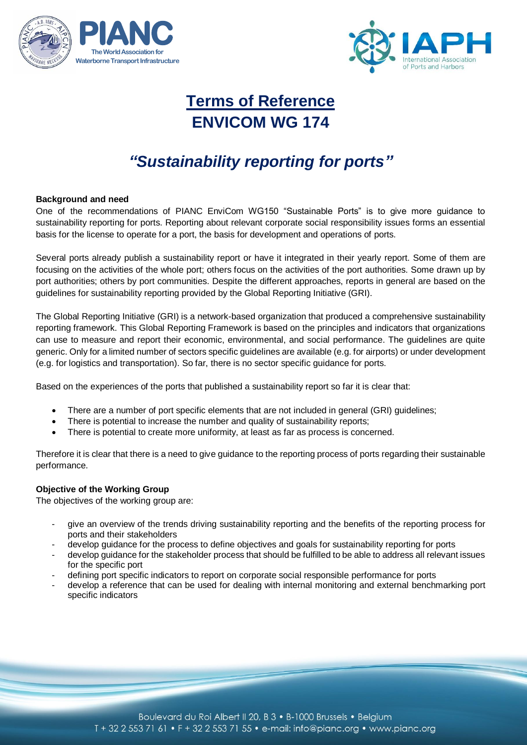



# **Terms of Reference ENVICOM WG 174**

# *"Sustainability reporting for ports"*

### **Background and need**

One of the recommendations of PIANC EnviCom WG150 "Sustainable Ports" is to give more guidance to sustainability reporting for ports. Reporting about relevant corporate social responsibility issues forms an essential basis for the license to operate for a port, the basis for development and operations of ports.

Several ports already publish a sustainability report or have it integrated in their yearly report. Some of them are focusing on the activities of the whole port; others focus on the activities of the port authorities. Some drawn up by port authorities; others by port communities. Despite the different approaches, reports in general are based on the guidelines for sustainability reporting provided by the Global Reporting Initiative (GRI).

The Global Reporting Initiative (GRI) is a network-based organization that produced a comprehensive sustainability reporting framework. This Global Reporting Framework is based on the principles and indicators that organizations can use to measure and report their economic, environmental, and social performance. The guidelines are quite generic. Only for a limited number of sectors specific guidelines are available (e.g. for airports) or under development (e.g. for logistics and transportation). So far, there is no sector specific guidance for ports.

Based on the experiences of the ports that published a sustainability report so far it is clear that:

- There are a number of port specific elements that are not included in general (GRI) guidelines;
- There is potential to increase the number and quality of sustainability reports;
- There is potential to create more uniformity, at least as far as process is concerned.

Therefore it is clear that there is a need to give guidance to the reporting process of ports regarding their sustainable performance.

### **Objective of the Working Group**

The objectives of the working group are:

- give an overview of the trends driving sustainability reporting and the benefits of the reporting process for ports and their stakeholders
- develop guidance for the process to define objectives and goals for sustainability reporting for ports
- develop guidance for the stakeholder process that should be fulfilled to be able to address all relevant issues for the specific port
- defining port specific indicators to report on corporate social responsible performance for ports
- develop a reference that can be used for dealing with internal monitoring and external benchmarking port specific indicators

Boulevard du Roi Albert II 20, B 3 · B-1000 Brussels · Belgium T + 32 2 553 71 61 • F + 32 2 553 71 55 • e-mail: info@pianc.org • www.pianc.org